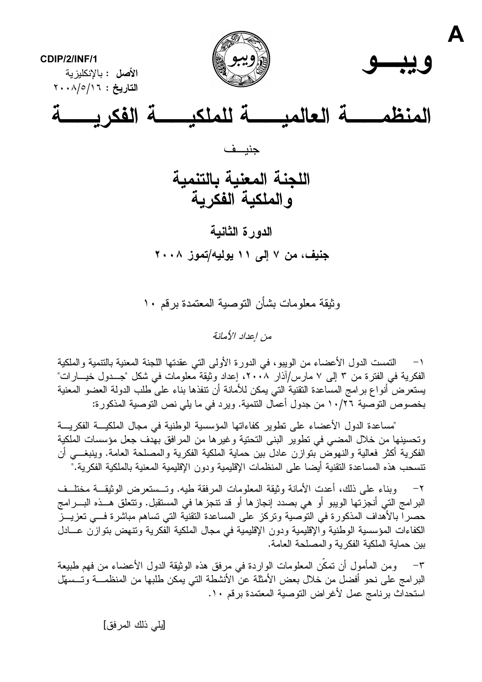

وثيقة معلومات بشأن النوصية المعتمدة برقم ١٠

من إعداد الأمانة

التمست الدول الأعضاء من الويبو، في الدورة الأولى التي عقدتها اللجنة المعنية بالتتمية والملكية  $\rightarrow$ الفكرية في الفترة من ٣ إلى ٧ مارس/آذار ٢٠٠٨، إعداد وثيقة معلومات في شكل "جــدول خيـــارات" يستعرض أنواع برامج المساعدة النقنية التي يمكن للأمانة أن نتفذها بناء على طلب الدولة العضو المعنية بخصوص التوصية ١٠/٢٦ من جدول أعمال النتمية. ويرد في ما يلي نص التوصية المذكورة:

"مساعدة الدول الأعضاء على تطوير كفاءاتها المؤسسية الوطنية في مجال الملكيـــة الفكريـــة وتحسينها من خلال المضبي في تطوير البني التحتية وغيرها من المرافق بهدف جعل مؤسسات الملكية الفكرية أكثر فعالية والنهوض بتوازن عادل بين حماية الملكية الفكرية والمصلحة العامة. وينبغـــي أن تتسحب هذه المساعدة التقنية أيضا على المنظمات الإقليمية ودون الإقليمية المعنية بالملكية الفكرية."

٢– وبناء على ذلك، أعدت الأمانة وثيقة المعلومات المرفقة طيه. وتـــستعرض الوثيقـــة مختلــف البر امج التي أنجزتها الويبو أو هي بصدد إنجازها أو قد تنجزها في المستقبل. ونتعلق هــذه البـــرامج حصرا بالأهداف المذكورة في التوصية ونركز على المساعدة التقنية التي تساهم مباشرة فـــي تعزيـــز الكفاءات المؤسسية الوطنية والإقليمية ودون الإقليمية في مجال الملكية الفكرية ونتهض بنوازن عـــادل بين حماية الملكية الفكرية والمصلحة العامة.

ومن المأمول أن تمكن المعلومات الواردة في مرفق هذه الوثيقة الدول الأعضاء من فهم طبيعة  $-\tau$ البر امج على نحو أفضل من خلال بعض الأمثلة عنَّ الأنشطة التي يمكن طلبها من المنظمـــة وتـــسهّل استحداث برنامج عمل لأغراض التوصية المعتمدة برقم ١٠.

[يلي ذلك المرفق]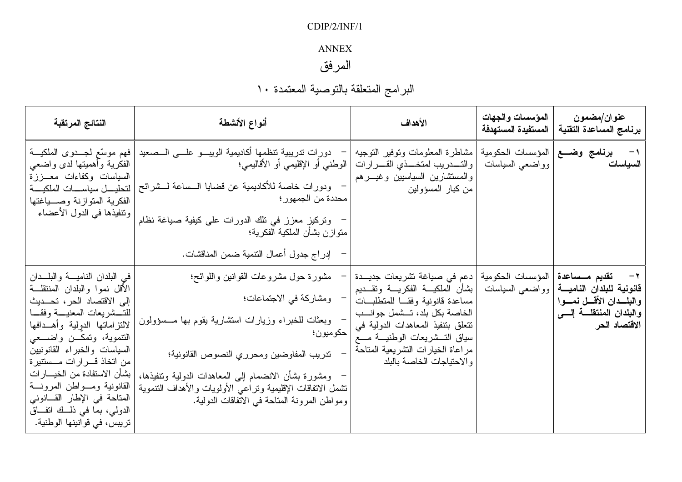## $CDIP/2/INF/1$

## $\operatorname{ANNEX}$

# المرفق

| النتائج المرتقبة                                                                                                                                                                                                                                                                                                                                                                                          | أنواع الأنشطة                                                                                                                                                                                                                                                                                               | الأهداف                                                                                                                                                                                                                                                       | المؤسسات والجهات<br>المستفيدة المستهدفة           | عنوان/مضمون<br>برنامج المساعدة التقنية                                                         |
|-----------------------------------------------------------------------------------------------------------------------------------------------------------------------------------------------------------------------------------------------------------------------------------------------------------------------------------------------------------------------------------------------------------|-------------------------------------------------------------------------------------------------------------------------------------------------------------------------------------------------------------------------------------------------------------------------------------------------------------|---------------------------------------------------------------------------------------------------------------------------------------------------------------------------------------------------------------------------------------------------------------|---------------------------------------------------|------------------------------------------------------------------------------------------------|
| فهم موسَّع لمجـــدوى الملكيـــة<br>الفكرية وأهميتها لدى واضعى<br>السياسات وكفاءات معـــززة<br>ا لتحليــــل سياســـــات الملكيـــــة<br>الفكرية المتوازنة وصسياغتها<br>ونتفيذها في الدول الأعضاء                                                                                                                                                                                                           | دورات تدريبية تنظمها أكاديمية الويبسو علسى السصعيد<br>الوطني أو الإقليمي أو الأقاليمي؛<br>ودورات خاصة للأكاديمية عن قضايا السساعة لــشرائح<br>محددة من الجمهور ؛<br>وتركيز معزز في تلك الدورات على كيفية صياغة نظام<br>منوازن بشأن الملكية الفكرية؛                                                         | مشاطرة المعلومات وتوفير النوجيه<br>والتــــدريب لمتخــــذي القــــرارات<br>والمستشارين السياسيين وغيـــرهم<br>من كبار المسؤولين                                                                                                                               | برنامج وضــع المؤسسات الحكومية<br>وواضعى السياسات | السياسات                                                                                       |
| في البلدان الناميـــة والبلـــدان                                                                                                                                                                                                                                                                                                                                                                         | إدراج جدول أعمال التنمية ضمن المناقشات.<br>مشورة حول مشروعات القوانين واللوائح؛                                                                                                                                                                                                                             | دعم في صياغة تشريعات جديـــدة                                                                                                                                                                                                                                 | المؤسسات الحكومية                                 | ٢ - تقديم مــساعدة                                                                             |
| الأقل نموا والبلدان المنتقلــة<br>إلى الاقتصاد الحر، تحـــديث<br>للتــــشريعات المعنيــــة وفقــــا<br>لالتزاماتها الدولية وأهــدافها<br>النتموية، ونمكـــن واضــــعى<br>السياسات والخبراء القانونيين<br>من اتخاذ قـــر ار ات مـــستنير ة<br>بشأن الاستفادة من الخيسار ات<br>القانونية ومسواطن المرونسة<br>المتاحة في الإطار القــانوني<br>الدولبي، بما في ذلـــك انفـــاق<br>تريبس، في قوانينها الوطنية. | ومشاركة في الاجتماعات؛<br>وبعثات للخبراء وزيارات استشارية يقوم بها مــسؤولون<br>حكوميون؛<br>تدريب المفاوضين ومحرري النصوص القانونية؛<br>ومشورة بشأن الانضمام إلى المعاهدات الدولية وتنفيذها،<br>نشمل الاتفاقات الإقليمية ونراعى الأولويات والأهداف التنموية<br>ومواطن المرونة المتاحة في الاتفاقات الدولية. | بشأن الملكيـــة الفكريــــة ونقـــديم<br>مساعدة قانونية وفقــا للمتطلبـــات<br>الخاصة بكل بلد، تـــشمل جوانـــب<br>تتعلق بتنفيذ المعاهدات الدولية في<br>سياق التـــشريعات الوطنيـــة مــــع<br>مراعاة الخيارات التشريعية المتاحة<br>والاحتياجات الخاصة بالبلد | وواضعى السياسات                                   | قانونية للبلدان الناميسة<br>والبلسدان الأقسل نمسوا<br>والبلدان المنتقلسة إلسى<br>الاقتصاد الحر |

# البرامج المتعلقة بالتوصية المعتمدة ١٠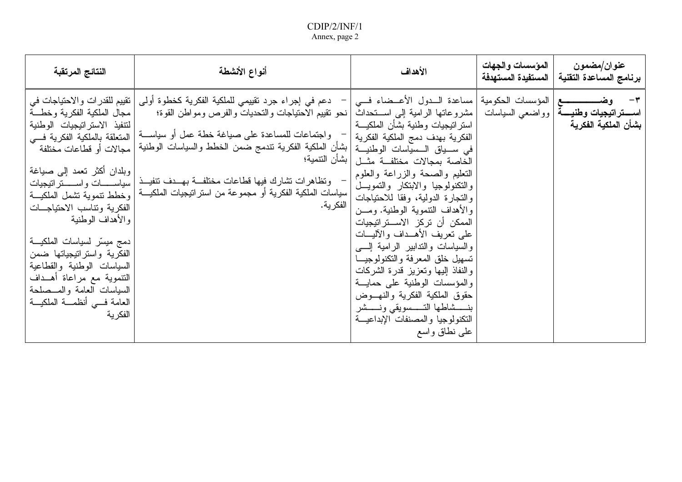| النتائج المرتقبة                                                                                                                                                                                                                                                                                                                                                                | أنواع الأنشطة                                                                                                                                                                                                                                                                                                                                                                                                                                                                                                                               | الأهداف                                                                                                                                                                                                                                                                                                                                                                                                                                                                                                                                                                                                                                                                                                             | المؤسسات والجهات<br>  المستفيدة المستهدفة | عنوان/مضمون<br>برنامج المساعدة التقنية                                                    |
|---------------------------------------------------------------------------------------------------------------------------------------------------------------------------------------------------------------------------------------------------------------------------------------------------------------------------------------------------------------------------------|---------------------------------------------------------------------------------------------------------------------------------------------------------------------------------------------------------------------------------------------------------------------------------------------------------------------------------------------------------------------------------------------------------------------------------------------------------------------------------------------------------------------------------------------|---------------------------------------------------------------------------------------------------------------------------------------------------------------------------------------------------------------------------------------------------------------------------------------------------------------------------------------------------------------------------------------------------------------------------------------------------------------------------------------------------------------------------------------------------------------------------------------------------------------------------------------------------------------------------------------------------------------------|-------------------------------------------|-------------------------------------------------------------------------------------------|
| مجال الملكية الفكرية وخطـــة<br>لنتفيذ الاستراتيجيات الوطنية<br>  مجالات أو قطاعات مختلفة<br>وبلدان أكثر نعمد إلى صباغة<br>الفكرية ونتاسب الاحتياجـــات<br>و الأهداف الوطنية<br>دمج ميسّر لسياسات الملكيـــة<br>الفكرية واستراتيجياتها ضمن<br>السياسات الوطنية والقطاعية<br>التتموية مع مراعاة أهـداف<br>السياسات العامة والمسصلحة<br>العامة فسي أنظمـــة الملكيـــة<br>الفكرية | دعم في إجراء جرد نقييمي للملكية الفكرية كخطوة أولى   نقييم للقدرات والاحتياجات في<br>  مشروعاتها الرامية إلى اســـنحداث نحو نقييم الاحتياجات والنحديات والفرص ومواطن القوة؛<br>واجتماعات للمساعدة على صياغة خطة عمل أو سياســـة   المتعلقة بالملكية الفكرية فـــي<br>في ســـياق الـــسيّاسات الوطنيـــة   بشأن الملكية الفكرية تندمج ضمن الخطط والسياسات الوطنية <sub>ا</sub><br>– وتظاهرات تشارك فيها قطاعات مختلفة بهسدف تنفيــذ<br> سياسات الملكية الفكرية أو مجموعة من استراتيجيات الملكيـــة   وخطط تنموية تشمل الملكيـــة<br>الفكرية. | ٣-     وضــــــــــــــــع   المؤسسات الحكومية   مساعدة الـــدول الأعـــضاء فـــي<br>استر انتبجيات وطنية بشأن الملكيسة<br>الفكرية بهدف دمج الملكية الفكرية<br>الخاصة بمجالات مختلفـــة مثـــل   بشأن التتمية؛<br>النعليم والصحة والزراعة والعلوم<br>والنكنولوجيا والابتكار والتمويـــل<br>والتجارة الدولية، وفقا للاحتياجات<br>والأهداف النتموية الوطنية. ومـــن<br>الممكن أن تركز الاســـتراتيجيات<br>على تعريف الأهــداف والآليـــات<br>والسياسات والندابير الرامية السبي<br>تسهيل خلق المعرفة والنكنولوجيا<br>والنفاذ البيها وتعزيز قدرة الشركات<br>والمؤسسات الوطنية على حمايـــة<br>حقوق الملكية الفكرية والنهـــوض<br>بنــــشاطها التــــسويقى ونــــشر<br>النكنولوجيا والمصنفات الإبداعيسة<br>علمي نطاق واسع |                                           | ا <b>ســـــتراتيجيات وطنيـــــة</b>  وواضعـ <sub>ى</sub> السياسات<br>بشأن الملكية الفكرية |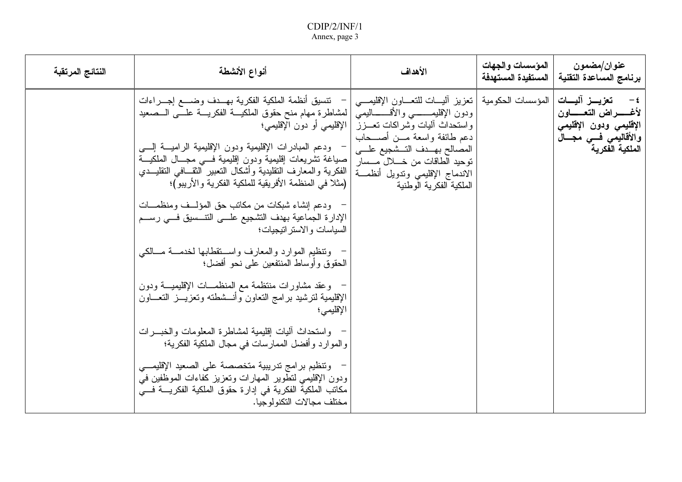| النتائج المرتقبة | أنواع الأنشطة                                                                                                                                                                                                                                                                                                                                                                                                                                                                                                                                                                                                                                                                                                                                                                                                                                                                                                                                                                                                                                                                                                           | الأهداف                                                                                                                                                                                                                                                                                                        | المؤسسات والجهات<br>المستفيدة المستهدفة | عنوان/مضمون<br>برنامج المساعدة التقنية                                                                                                           |
|------------------|-------------------------------------------------------------------------------------------------------------------------------------------------------------------------------------------------------------------------------------------------------------------------------------------------------------------------------------------------------------------------------------------------------------------------------------------------------------------------------------------------------------------------------------------------------------------------------------------------------------------------------------------------------------------------------------------------------------------------------------------------------------------------------------------------------------------------------------------------------------------------------------------------------------------------------------------------------------------------------------------------------------------------------------------------------------------------------------------------------------------------|----------------------------------------------------------------------------------------------------------------------------------------------------------------------------------------------------------------------------------------------------------------------------------------------------------------|-----------------------------------------|--------------------------------------------------------------------------------------------------------------------------------------------------|
|                  | نتسيق أنظمة الملكية الفكرية بهــدف وضـــع إجـــراءات<br>  لمشاطرة مهام منح حقوق الملكيـــة الفكريــــة علــــي الـــصعيد<br>الإقليمي أو دون الإقليمي؛<br>ودعم المبادرات الإقليمية ودون الإقليمية الراميـــة إلــــي<br>صباغة تشريعات إقليمية ودون إقليمية فسي مجسال الملكيسة<br>الفكرية والمعارف النقليدية وأشكال النعبير النقــافي النقليــدي<br>(مثلاً في المنظمة الأفريقية للملكية الفكرية والأريبو)؛<br>ودعم إنشاء شبكات من مكاتب حق المؤلسف ومنظمـــات<br>الإدارة الجماعية بهدف التشجيع علـــي التتـــسيق فـــي رســـم<br>السياسات والاستراتيجيات؛<br>ونتظيم الموارد والمعارف واستقطابها لخدمسة مسالكي<br>الحقوق وأوساط المنتفعين على نحو أفضل؛<br>وعقد مشاورات منتظمة مع المنظمـــات الإقليميــــة ودون<br>الإقليمية لنرشيد برامج النعاون وأنسشطنه وتعزيـــز النعــــاون<br>الإقليمي؛<br>واستحداث البيات إقليمية لمشاطرة المعلومات والخبسرات<br>والموارد وأفضل الممارسات في مجال الملكية الفكرية؛<br>ونتظيم برامج ندريبية متخصصة على الصعيد الإقليمـــي<br>ودون الإقليمي لتطوير المهارات وتعزيز كفاءات الموظفين في<br>مكانب الملكية الفكرية في إدارة حقوق الملكية الفكريــــة فـــي<br>مختلف مجالات التكنو لوجيا. | المؤسسات الحكومية   تعزيز اليسات للتعساون الإقليمـــي<br>ودون الإقليمــــــــى والأقـــــــاليمـى<br>واستحداث أليات وشراكات تعـــزز<br>دعم طائفة واسعة مـــن أصــــحاب<br>المصالح بهــدف النــشجيع علـــى<br>توحيد الطاقات من خـــــلال مــــسار<br>الاندماج الإقليمي وندويل أنظمسة<br>الملكية الفكرية الوطنية |                                         | تعزيـــز آليــــات<br>$-\epsilon$<br>لأغــــــــــــراض التـعـــــــــاون<br>الإقليمي ودون الإقليمي<br>والأقاليمي فسي مجـــال<br>الملكية الفكرية |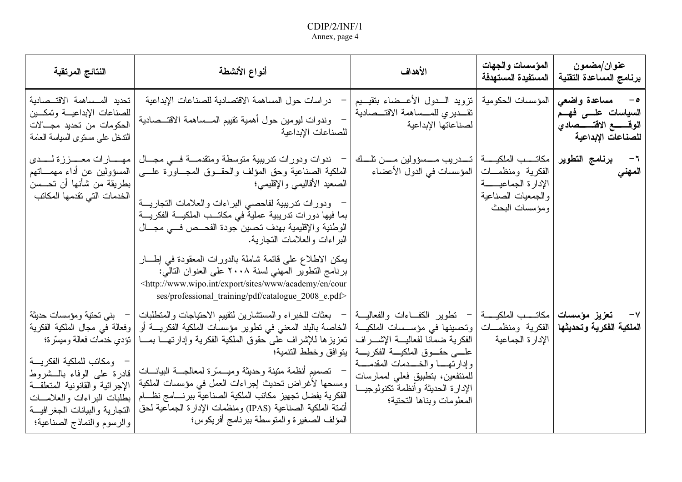| النتائج المرتقبة                                                                                                                                                                                                                                                                                 | أنواع الأنشطة                                                                                                                                                                                                                                                                                                                                                                                                                                                                                                                                                                                                                            | الأهداف                                                                                                                                                                                                                                                                                                                                   | المؤسسات والجهات<br>المستفيدة المستهدفة                                                                         | عنوان/مضمون<br>برنامج المساعدة التقنية                                                                     |
|--------------------------------------------------------------------------------------------------------------------------------------------------------------------------------------------------------------------------------------------------------------------------------------------------|------------------------------------------------------------------------------------------------------------------------------------------------------------------------------------------------------------------------------------------------------------------------------------------------------------------------------------------------------------------------------------------------------------------------------------------------------------------------------------------------------------------------------------------------------------------------------------------------------------------------------------------|-------------------------------------------------------------------------------------------------------------------------------------------------------------------------------------------------------------------------------------------------------------------------------------------------------------------------------------------|-----------------------------------------------------------------------------------------------------------------|------------------------------------------------------------------------------------------------------------|
| تحديد المــساهمة الاقتــصادية<br>للصناعات الإبداعيــة وتمكــين<br>الحكومات من تحديد مجــــالات<br>الندخل على مسنوى السياسة العامة                                                                                                                                                                | در اسات حول المساهمة الاقتصادية للصناعات الإبداعية<br>وندوات ليومين حول أهمية نقييم المسساهمة الاقتـــصادية<br>للصناعات الإبداعية                                                                                                                                                                                                                                                                                                                                                                                                                                                                                                        | نزويد السدول الأعسضاء بتقيسيم<br>تقديري للمساهمة الاقتــصادية<br>لصناعاتها الإبداعية                                                                                                                                                                                                                                                      | المؤسسات الحكومية                                                                                               | مساعدة واضعى<br>$-\circ$<br>السياسات علـــى فهـــم<br>الوقــــــــع الاقتـــــــصادي<br>للصناعات الإبداعية |
| مهــــارات معــــززة لــــدى<br>المسؤولين عن أداء مهمـــاتهم<br>بطريقة من شأنها أن تحـــسن<br>الخدمات التي تقدمها المكاتب                                                                                                                                                                        | ندوات ودورات ندريبية متوسطة ومتقدمـــة فـــي مجـــال<br>الملكية الصناعية وحق المؤلف والحقــوق المجـــاورة علـــي<br>الصعيد الأقاليمي والإقليمي؛<br>ودورات ندريبية لفاحصي البراءات والعلامات التجاريــــة<br>بما فيها دورات تدريبية عملية في مكاتــب الملكيـــة الفكريـــة<br>الوطنية والإقليمية بهدف تحسين جودة الفحــص فـــي مجـــال<br>البراءات والعلامات التجارية.<br>يمكن الاطلاع على قائمة شاملة بالدورات المعقودة في إطـــار<br>برنامج النطوير المهنى لسنة ٢٠٠٨ على العنوان التالي:<br><http: academy="" cour<br="" en="" export="" sites="" www="" www.wipo.int="">ses/professional training/pdf/catalogue 2008 e.pdf&gt;</http:> | المؤسسات في الدول الأعضاء                                                                                                                                                                                                                                                                                                                 | مكاتــــب الملكيــــــة<br>الفكرية ومنظمـــات<br>الإدارة الجماعيـــــــة<br>والجمعيات الصناعية<br>ومؤسسات البحث | برنامج التطوير<br>$-\mathbf{1}$<br>المهني                                                                  |
| بنى تحتية ومؤسسات حديثة<br>وفعالة في مجال الملكية الفكرية<br>  نَؤْدِي خَدْمَاتْ فَعَالَةٌ وَمَيْسَرْةَ؛<br>ومكاتب للملكية الفكريسة<br>قادرة على الوفاء بالـــشروط<br>الإجرائية والقانونية المتعلقة<br>بطلبات البراءات والعلامسات<br>النجارية والبيانات الجغرافيسة<br>والرسوم والنماذج الصناعية؛ | بعثات للخبراء والمستشارين لتقييم الاحتياجات والمتطلبات<br>  الخاصة بالبلد المعنى في تطوير مؤسسات الملكية الفكريــــة أو<br>  نعزيزها للإشراف على حقوق الملكية الفكرية وإدارتهـــا بمـــا<br>  يتوافق وخطط التتمية؛<br>تصميم أنظمة متينة وحديثة وميـــسّرة لمعالجـــة البيانــــات<br>ومسحها لأغراض تحديث إجراءات العمل في مؤسسات الملكية<br>الفكرية بفضل تجهيز مكاتب الملكية الصناعية ببرنسامج نظسام<br>أتمتة الملكية الصناعية (IPAS) ومنظمات الإدارة الجماعية لحق<br>المؤلف الصغيرة والمتوسطة ببرنامج أفريكوس؛                                                                                                                          | مكاتـــــب الملكيـــــــة   –   نطوير   الكفــــاءات  والفعاليــــة<br> وتحسينها في مؤســسات الملكيـــة<br>الفكرية ضمانا لفعاليـــة الإشــــراف<br>علــــى حقــــوق الملكيــــة الفكريــــة<br>وإدارتهـــا والخــــدمات المقدمــــة<br>للمنتفعين، بتطبيق فعلى لممارسات<br>الإدارة الحديثة وأنظمة تكنولوجيــا<br>المعلومات وبناها التحتية؛ | الفكرية ومنظمـــات<br>الإدار ة الجماعية                                                                         | تعزيز مؤسسات<br>$-\mathsf{V}$<br>الملكية الفكرية وتحديثها                                                  |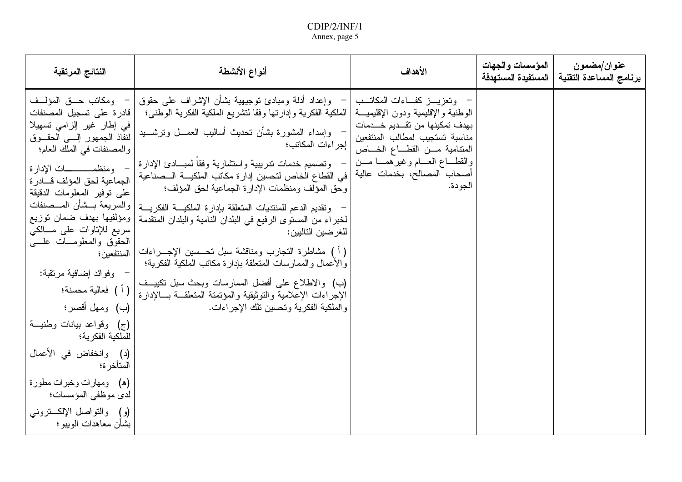| النتائج المرتقبة                                                                                                                                                                                                                                                                                                                                                                                                                                                                                                                                                                                                                                 | أنواع الأنشطة                                                                                                                                                                                                                                                                                                                                                                                                                                                                                                                                                                                                                                                                                                                                                                                                                                                     | الأهداف                                                                                                                                                                                                                         | المؤسسات والجهات<br>  المستفيدة المستهدفة | عنوان/مضمون<br>برنامج المساعدة التقنية |
|--------------------------------------------------------------------------------------------------------------------------------------------------------------------------------------------------------------------------------------------------------------------------------------------------------------------------------------------------------------------------------------------------------------------------------------------------------------------------------------------------------------------------------------------------------------------------------------------------------------------------------------------------|-------------------------------------------------------------------------------------------------------------------------------------------------------------------------------------------------------------------------------------------------------------------------------------------------------------------------------------------------------------------------------------------------------------------------------------------------------------------------------------------------------------------------------------------------------------------------------------------------------------------------------------------------------------------------------------------------------------------------------------------------------------------------------------------------------------------------------------------------------------------|---------------------------------------------------------------------------------------------------------------------------------------------------------------------------------------------------------------------------------|-------------------------------------------|----------------------------------------|
| – ومكاتب حــق المؤلــف<br>  قادر ة على نسجيل المصنفات<br>فی إطار غیر الزامی تسهیلا<br> لنفاذ الجمهور إلـــي الحقـــوق<br>والمصنفات في الملك العام؛<br>– ومنظمــــــــــات الإدار ة<br>الجماعية لحق المؤلف قسادر ة<br>على نوفير المعلومات الدقيقة<br>  والسريعة بـــشأن المـــصنفات<br> ومؤلفيها بهدف ضمان توزيع<br>سریع للإناوات علمی مـــالکی<br>الحقوق والمعلومـــات علــــي<br>  المنتفعين ؛<br>– وفوائد إضافية مرتقبة:<br>( أ ) فعالية محسنة؛<br>(ب) ومهل أقصر؛<br>(ج) وقواعد بيانات وطنيــة<br>للملكية الفكرية؛<br>(د) وانخفاض في الأعمال<br>المتأخر ة؛<br>(ه)   ومهارات وخبرات مطورة<br>لدى موظفي المؤسسات؛<br>(و) والنواصل الإلكـــنزونـي | وإعداد أدلة ومبادئ نوجيهية بشأن الإشراف على حقوق<br>الوطنية والإقليمية ودون الإقليميــــة   الملكية الفكرية وإدارتها وفقا لنشريع الملكية الفكرية الوطني؛<br>وإسداء المشورة بشأن تحديث أساليب العمـــل ونرشــــيد<br>  إجراءات المكاتب؛<br>وتصميم خدمات ندريبية واستشارية وفقا لمبسادئ الإدارة<br>  في القطاع الخاص لتحسين إدار ة مكانب الملكيــــة الـــصناعية<br>وحق المؤلف ومنظمات الإدارة الجماعية لحق المؤلف؛<br>وتقديم الدعم للمنتديات المتعلقة بإدارة الملكيــة الفكريـــة<br>لخبراء من المستوى الرفيع في البلدان النامية والبلدان المتقدمة<br>للغر ضين التاليين:<br>( أ ) مشاطرة التجارب ومناقشة سبل تحـــسين الإجــــراءات<br>والأعمال والممارسات المتعلقة بإدارة مكانب الملكية الفكرية؛<br>(ب) والاطلاع على أفضل الممارسات وبحث سبل نكييــف<br>الإجراءات الإعلامية والنوثيقية والمؤتمتة المتعلقــة بـــالإدارة<br>والملكية الفكرية وتحسين تلك الإجراءات. | – وتعزيـــز كفـــاءات المكاتـــب<br>بهدف تمكينها من تقـــديم خــــدمات<br>مناسبة تستجيب لمطالب المنتفعين<br>المتنامية مــن القطــاع الخـــاص<br>والقطـــاع العـــام وغير همـــا مـــن<br>أصحاب المصالح، بخدمات عالية<br>الجودة. |                                           |                                        |
| بشأن معاهدات الويبو ؛                                                                                                                                                                                                                                                                                                                                                                                                                                                                                                                                                                                                                            |                                                                                                                                                                                                                                                                                                                                                                                                                                                                                                                                                                                                                                                                                                                                                                                                                                                                   |                                                                                                                                                                                                                                 |                                           |                                        |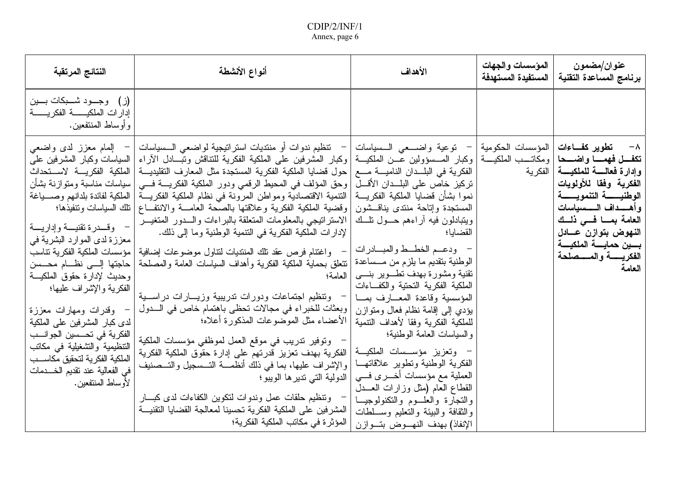| النتائج المرتقبة                                                                                                                                                                                                                                                                                                                                                                                                                                                                                            | أنواع الأنشطة                                                                                                                                                                                                                                                                                                                                                                                                                                                                                                                                                                                                                                                                                                                                                                                                                                                                                                                                                                                                                                                                                                                                                                                                                                                                                                                                                                                                                                                                                                                                                                                                                                    | الأهداف                                                                                                                                                                                                                                                                                                                                                                                                                                                                                                                                                           | المؤسسات والجهات<br>المستفيدة المستهدفة | عنوان/مضمون<br>برنامج المساعدة التقنية                                                                                                                                                                                                                                   |
|-------------------------------------------------------------------------------------------------------------------------------------------------------------------------------------------------------------------------------------------------------------------------------------------------------------------------------------------------------------------------------------------------------------------------------------------------------------------------------------------------------------|--------------------------------------------------------------------------------------------------------------------------------------------------------------------------------------------------------------------------------------------------------------------------------------------------------------------------------------------------------------------------------------------------------------------------------------------------------------------------------------------------------------------------------------------------------------------------------------------------------------------------------------------------------------------------------------------------------------------------------------------------------------------------------------------------------------------------------------------------------------------------------------------------------------------------------------------------------------------------------------------------------------------------------------------------------------------------------------------------------------------------------------------------------------------------------------------------------------------------------------------------------------------------------------------------------------------------------------------------------------------------------------------------------------------------------------------------------------------------------------------------------------------------------------------------------------------------------------------------------------------------------------------------|-------------------------------------------------------------------------------------------------------------------------------------------------------------------------------------------------------------------------------------------------------------------------------------------------------------------------------------------------------------------------------------------------------------------------------------------------------------------------------------------------------------------------------------------------------------------|-----------------------------------------|--------------------------------------------------------------------------------------------------------------------------------------------------------------------------------------------------------------------------------------------------------------------------|
| (ز) وجــود شـــبكات بـــين<br>إدارات الملكيـــــــــــة الفكريــــــــــة<br>و أو ساط المنتفعين.                                                                                                                                                                                                                                                                                                                                                                                                            |                                                                                                                                                                                                                                                                                                                                                                                                                                                                                                                                                                                                                                                                                                                                                                                                                                                                                                                                                                                                                                                                                                                                                                                                                                                                                                                                                                                                                                                                                                                                                                                                                                                  |                                                                                                                                                                                                                                                                                                                                                                                                                                                                                                                                                                   |                                         |                                                                                                                                                                                                                                                                          |
| السياسات وكبار المشرفين علمي<br>سياسات مناسبة ومتوازنة بشأن<br>الملكية لفائدة بلدانهم وصسياغة<br>وقسدرة تقنيسة وإداريسة<br>معززة لدى الموارد البشرية في<br>  مؤسسات الملكية الفكرية نتاسب<br>حاجتها إلى نظــام محـــسن<br>وحديث لإدارة حقوق الملكيـــة<br>الفكرية والإشراف عليها؛<br>وقدرات ومهارات معززة<br>لدى كبار المشرفين على الملكية<br>الفكرية في تحـــسين الجوانـــب<br>التنظيمية والتشغيلية في مكاتب<br>الملكية الفكرية لتحقيق مكاســـب<br>في الفعالية عند نقديم الخـــــدمات<br>لأوساط المنتفعين. | المؤسسات الحكومية   –   توعية واضـــعى الـــسياسات   –   تنظيم ندوات أو منتديات استراتيجية لواضعي الــسياسات   –   إلمام معزز لدى واضعى<br><mark>تكفــل فهمـــا واضـــحا</mark>  ومكاتـــب الملكيـــة  وكبار المـــسؤولين عـــن الملكيـــة  وكبار المشرفين على الملكية الفكرية للتتاقش وتبـــادل الأراء<br>الفكرية في البلــدان الناميــــة مــــع   حول قضايا الملكية الفكرية المستجدة مثل المعارف التقليديـــة   الملكية الفكريـــة  لاســـتحداث<br>تركيز خاص على البلـــدان الأقــــل   وحق المؤلف في المحيط الرقمي ودور الملكية الفكريــــة فــــي<br>نموا بشأن قضايا الملكية الفكريــــة   النتمية الاقتصادية ومواطن المرونة في نظام الملكية الفكريــــة<br>المستجدة وإناحة منتدى يناقـــشون  وقضية الملكية الفكرية وعلاقتها بالصحة العامـــة والانتفـــاع  تلك السياسات وتتفيذها؛<br>ويتبادلون فيه أراءهم حـــول نلـــك   الاسترانتيجي بالمعلومات المتعلقة بالبراءات والـــدور المتغيـــر<br>لإدار ات الملكية الفكرية في النتمية الوطنية وما إلى ذلك.<br>واغتنام فرص عقد نلك المنتديات لنتاول موضوعات إضافية<br> نتنعلق بحماية الملكية الفكرية وأهداف السياسات العامة والمصلحة<br>العامة؛<br>ونتظيم اجتماعات ودورات ندريبية وزيـــارات دراســـية<br>  وبعثات للخبراء في مجالات تحظى باهتمام خاص في الـــدول<br>  الأعضاء مثل الموضوعات المذكورة أعلاه؛<br>وتوفير تدريب في موقع العمل لموظفي مؤسسات الملكية<br>الفكرية بهدف تعزيز قدرتهم على إدارة حقوق الملكية الفكرية<br> والإشراف عليها، بما في ذلك أنظمـــة التـــسجيل والتـــصنيف<br>  الدولية التي تدير ها الويبو ؛<br>–   وتنظيم حلقات عمل وندوات لنكوين الكفاءات لدى كبـــار<br>المشر فين على الملكية الفكرية تحسينا لمعالجة القضايا التقنيسة<br>المؤثر ة في مكاتب الملكية الفكرية؛ | القضايا؛<br>– ودعــم الخطــط والمبـــادرات<br>الوطنية بتقديم ما يلزم من مـــساعدة<br>نقنية ومشورة بهدف نطسوير بنسي<br>الملكية الفكرية التحتية والكفاءات<br>المؤسسية وقاعدة المعسارف بمسا<br>يؤدى إلىي إقامة نظام فعال ومتوازن<br>للملكية الفكرية وفقا لأهداف التتمية<br>والسياسات العامة الوطنية؛<br>– وتعزيز مؤســسات الملكيـــة<br>الفكرية الوطنية ونطوير علاقاتهــا<br>العملية مع مؤسسات أخـــــرى فـــــى<br>القطاع العام (مثل وزارات العـــدل<br>والنجارة والعلسوم والنكنولوجيسا<br>والنقافة والبيئة والنعليم وســـلطات<br>الإنفاذ) بهدف النهـــوض بتـــوازن |                                         | ∧− تطوير كفـــاءا <i>ت</i><br>وإدارة فعالسة للملكيسة   الفكرية<br>الفكرية وفقا للأولويات<br>الوطنيـــــــــة التنمويــــــــة<br>وأهـــداف الــــسياسات<br>العامة بمسا فسى ذلسك<br>النهوض بتوازن عسادل<br>بسين حمايسة الملكيسة<br>الفكريـــــــة والمـــــصلحة<br>العامة |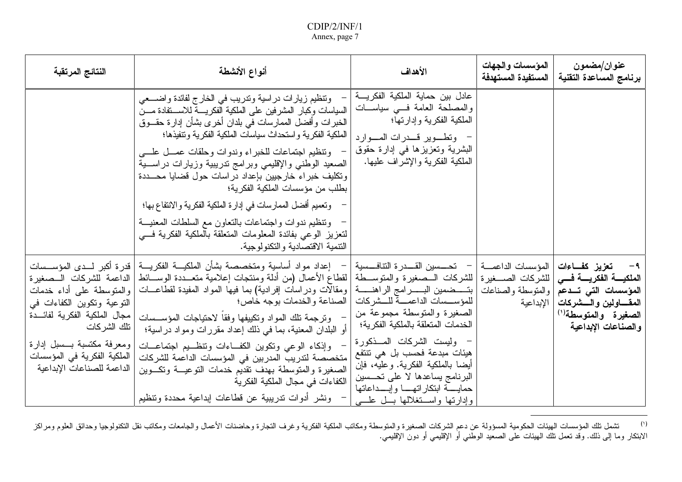| النتائج المرتقبة                                                                                                                                                                                 | أنواع الأنشطة                                                                                                                                                                                                                                                                                                                                                                                                                                                                                                                                                                                                                                                                                                    | الأهداف                                                                                                                                                                                                                                                                                                                                                                                    | المؤسسات والجهات<br>المستفيدة المستهدفة | عنوان/مضمون<br>برنامج المساعدة التقنية                                                                                                                                                                                     |
|--------------------------------------------------------------------------------------------------------------------------------------------------------------------------------------------------|------------------------------------------------------------------------------------------------------------------------------------------------------------------------------------------------------------------------------------------------------------------------------------------------------------------------------------------------------------------------------------------------------------------------------------------------------------------------------------------------------------------------------------------------------------------------------------------------------------------------------------------------------------------------------------------------------------------|--------------------------------------------------------------------------------------------------------------------------------------------------------------------------------------------------------------------------------------------------------------------------------------------------------------------------------------------------------------------------------------------|-----------------------------------------|----------------------------------------------------------------------------------------------------------------------------------------------------------------------------------------------------------------------------|
|                                                                                                                                                                                                  | ونتظيم زيارات دراسية وندريب في الخارج لفائدة واضـــعي<br>السياسات وكبار المشرفين على الملكية الفكريسة للاسستفادة مسن<br>الخبرات وأفضل الممارسات في بلدان أخرى بشأن إدارة حقـــوق<br>الملكية الفكرية واستحداث سياسات الملكية الفكرية ونتفيذها؛<br>ونتظيم اجتماعات للخبراء وندوات وحلقات عمسل علسى<br>الصعيد الوطنبي والإقليمي وبرامج ندريبية وزيارات دراســـية<br>وتكليف خبراء خارجيين بإعداد دراسات حول قضايا محـــددة<br>بطلب من مؤسسات الملكية الفكرية؛<br>وتعميم أفضل الممارسات في إدارة الملكية الفكرية والانتفاع بها؛<br>ونتظيم ندوات واجتماعات بالتعاون مع السلطات المعنيـــة<br>لتعزيز الوعى بفائدة المعلومات المتعلقة بالملكية الفكرية فسي<br>النتمية الاقتصادية والتكنولوجية.                           | عادل بين حماية الملكية الفكريــــة<br>والمصلحة العامة فسي سياســـات<br>الملكية الفكرية وإدارتها؛<br>- وتطوير قدرات الموارد<br>البشرية وتعزيزها في إدارة حقوق<br>الملكية الفكرية والإشراف عليها.                                                                                                                                                                                            |                                         |                                                                                                                                                                                                                            |
| والمنوسطة على أداء خدمات<br>التوعية وتكوين الكفاءات في<br>مجال الملكية الفكرية لفائـــدة<br>تلك الشركات<br>ومعرفة مكتسبة بسسل إدارة<br>الملكية الفكرية في المؤسسات<br>الداعمة للصناعات الإبداعية | إعداد مواد أساسية ومتخصصة بشأن الملكيـــة الفكريــــة   قدرة أكبر لـــدى المؤســـسات<br> للشركات الــصغيرة والمتوســـطة لقطاع الأعمال (من أدلة ومنتجات إعلامية متعـــددة الوســـائط الداعمة للشركات الـــصغيرة<br>بتــــضمين البــــــــرامج الراهنــــــــة   ومقالات ودراسات إفرادية) بما فيها المواد المفيدة لقطاعــــات<br>ونرجمة نلك المواد ونكبيفها وفقا لاحتياجات المؤســسات<br>أو البلدان المعنية، بما في ذلك إعداد مقررات ومواد دراسية؛<br>وإذكاء الوعى ونكوين الكفاءات وتنظــيم اجتماعــات<br>  متخصصة لتدريب المدربين في المؤسسات الداعمة للشركات<br>الصغيرة والمتوسطة بهدف تقديم خدمات النوعيـــة ونكـــوين<br>الكفاءات في مجال الملكية الفكرية<br>ونشر أدوات تدريبية عن قطاعات إبداعية محددة وتنظيم | –     تحـــــسين  القــــدر ة  التنافـــسية<br>للمؤســـسات الداعمــــة للـــشركات   الصناعة والخدمات بوجه خاص؛<br>الصغيرة والمتوسطة مجموعة من<br>الخدمات المتعلقة بالملكية الفكرية؛<br>وليست الشركات المسذكورة<br>هيئات مبدعة فحسب بل هي تتتفع<br>أيضا بالملكية الفكرية. وعليه، فإن<br>البرنامج يساعدها لا على تحـــسين<br>حمايسة ابتكار اتهسا وإبسداعاتها<br>وإدارتها واستغلالها بسل علسى | اللمؤسسات الداعمـــة                    | تعزيز كفاءات<br>الملكيـــــة الفكريـــــة فــــى   للشركات الصـــــغير ة<br>المؤسسات التبي تسدعم  والمنوسطة والصناعات<br>المقــــاولين والــــشركات   الإبداعية<br>الصغيرة والمتوسطة <sup>(١)</sup><br>والصناعات الإبداعية |

 $\left( \mathbf{r}\right)$ <sup>(י)</sup> تشمل تلك المؤسسات الهيئات الحكومية المسؤولة عن دعم الشركات الصنغيرة ومكانب الملكية الفكرية وغرف النجارة وحاضنات الأعمال والجامعات ومكانب نقل النكنولوجيا وحدائق العلوم ومراكز<br>الابتكار وما إلى ذلك. وقد تعمل تلك ال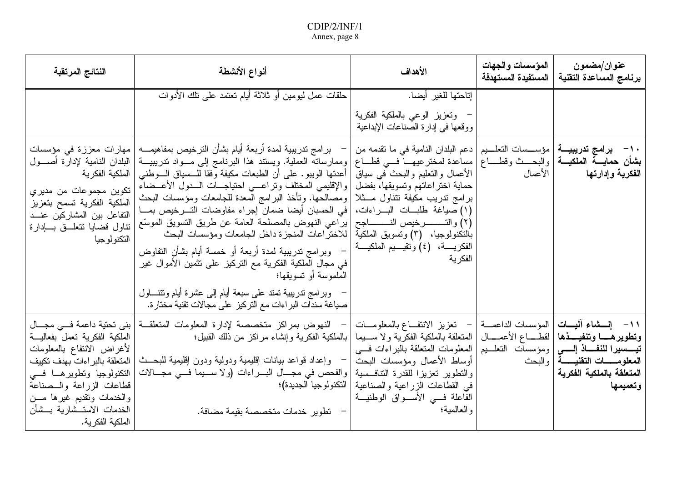| النتائج المرتقبة                                                                                                                                                                                                                                                             | أنواع الأنشطة                                                                                                                                                                                                                                                                                                                                                                                                                                                                                                                                                                                                                                                                                                                                                                                                                                                                                                                            | الأهداف                                                                                                                                                                                                                                                                             | المؤسسات والجهات<br>المستفيدة المستهدفة | عنوان/مضمون<br>برنامج المساعدة التقنية                                                                                                                                                           |
|------------------------------------------------------------------------------------------------------------------------------------------------------------------------------------------------------------------------------------------------------------------------------|------------------------------------------------------------------------------------------------------------------------------------------------------------------------------------------------------------------------------------------------------------------------------------------------------------------------------------------------------------------------------------------------------------------------------------------------------------------------------------------------------------------------------------------------------------------------------------------------------------------------------------------------------------------------------------------------------------------------------------------------------------------------------------------------------------------------------------------------------------------------------------------------------------------------------------------|-------------------------------------------------------------------------------------------------------------------------------------------------------------------------------------------------------------------------------------------------------------------------------------|-----------------------------------------|--------------------------------------------------------------------------------------------------------------------------------------------------------------------------------------------------|
|                                                                                                                                                                                                                                                                              | حلقات عمل ليومين أو ثلاثة أيام نعتمد على نلك الأدوات                                                                                                                                                                                                                                                                                                                                                                                                                                                                                                                                                                                                                                                                                                                                                                                                                                                                                     | إتاحتها للغير أيضا.<br>–  وتعزيز الوعى بالملكية الفكرية<br>ووقعها في إدارة الصناعات الإبداعية                                                                                                                                                                                       |                                         |                                                                                                                                                                                                  |
| مهارات معززة في مؤسسات<br>البلدان النامية لإدارة أصـــول<br>الملكية الفكرية<br>تكوين مجموعات من مديري<br>الملكية الفكرية تسمح بتعزيز<br>التفاعل بين المشاركين عنــد<br>نتاول قضايا نتعلىق بسادارة<br>التكنو لو جيا                                                           | –   بر امج ندريبية لمدة أربعة أيام بشأن الترخيص بمفاهيمــــه<br><b>بشأن حمايـــة الملكيـــة</b>  والبحـــث وقطــــاع  مساعدة لمخترعيهـــا فـــي قطـــاع  وممارساته العملية. ويستند هذا البرنامج إلى مـــواد تدريبيـــة<br>أعدتها الويبو. على أن الطبعات مكيفة وفقا للـــسياق الــــوطنـي<br>حماية اختراعاتهم وتسويقها، بفضل   والإقليمي المختلف ونراعـــي احتياجـــات الـــدول الأعـــضاء<br>برامج تدريب مكيفة نتناول مـــثلا   ومصالحها. وتأخذ البرامج المعدة للجامعات ومؤسسات البحث<br>(١) صياغة طلبات البــراءات،   في الحسبان أيضا ضمان إجراء مفاوضات التــرخيص بمـــا<br>بالتكنولوجيا،   (٣) وتسويق الملكية   للاختر اعات المنجزة داخل الجامعات ومؤسسات البحث<br>وبرامج ندريبية لمدة أربعة أو خمسة أيام بشأن النفاوض<br>في مجال الملكية الفكرية مع التركيز على تثمين الأموال غير<br>الملموسة أو تسويقها؛<br>وبرامج تدريبية تمتد على سبعة أيام إلى عشرة أيام ونتتــــاول<br>صياغة سندات البراءات مع التركيز على مجالات تقنية مختارة. | • 1 −    برامج تدريبيـــة   مؤســـسات التعلـــيم   دعم البلدان النامية في ما تقدمه من<br>  الأعمال والنعليم والبحث في سياق  <br>الفكريـــــة،   (٤) وتقيــــيم الملكيــــة<br>الفكرية                                                                                               |                                         | ا <b>لفكرية وإدارتها الأعمال</b>                                                                                                                                                                 |
| بني تحتية داعمة فسي مجـــال<br>الملكية الفكرية تعمل بفعاليـــة<br>لأغراض الانتفاع بالمعلومات<br>المتعلقة بالبر اءات بهدف تكييف<br>التكنولوجيا ونطويرهــا فـــى<br>قطاعات الزراعة والسصناعة<br>والخدمات ونقديم غيرها مـــن<br>الخدمات الاستــشارية بــشأن<br>الملكية الفكرية. | النهوض بمراكز متخصصة لإدارة المعلومات المتعلقــة<br>  بالملكية الفكرية وإنشاء مراكز من ذلك القبيل؛<br>وإعداد قواعد بيانات إقليمية ودولية ودون إقليمية للبحــث<br>والنطوير تعزيزًا للقدرة النتافسية  والفحص في مجــال البـــراءات (ولا ســـيما فـــي مجـــالات<br>– تطوير خدمات متخصصة بقيمة مضافة.                                                                                                                                                                                                                                                                                                                                                                                                                                                                                                                                                                                                                                       | المؤسسات الداعمــــة   –   تعزيز الانتفـــاع بالمعلومــــات<br>  المتعلقة بالملكية الفكرية ولا ســــيما<br>المعلومات المتعلقة بالبراءات فسى<br>أوساط الأعمال ومؤسسات البحث<br>في القطاعات الزراعية والصناعية التكنولوجيا الجديدة)؛<br>الفاعلة فسي الأسـواق الوطنيــة<br>و العالمية؛ |                                         | ١١– إنسشاء آليسات<br>وتطويرهـــا وتنفيـــذها   لقطــــاع الأعمــــال<br>تيسسيرا للنفاذ إلسي   ومؤسسات التعليم<br>المعلومــــــات التقنيـــــــة  والبحث<br>المتعلقة بالملكية الفكرية<br>وتعميمها |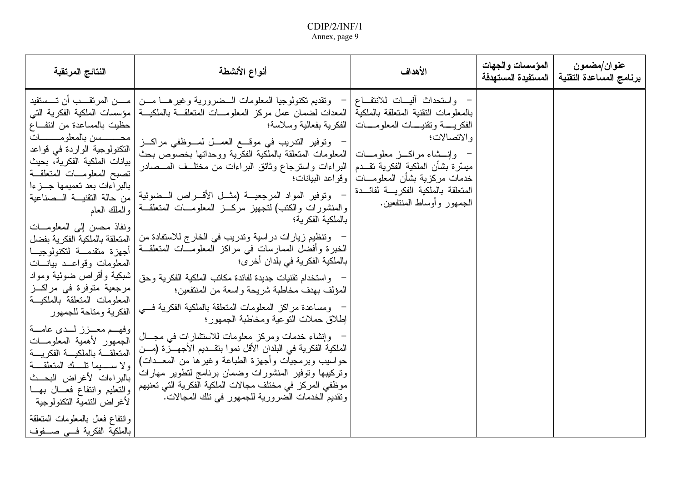| النتائج المرتقبة                                                                                                                                                                                                                                                                                                                                                                                                                                                                                                                                                                                                                                                                                                                                                      | أنواع الأنشطة                                                                                                                                                                                                                                                                                                                                                                                                                                                                                                                                                                                                                                                                                                                                                                                                                                                                                                                                                                                                                                                                                                                                                                                                                                                                                            | الأهداف                                                                                                                                                                                                                                                               | المؤسسات والجهات<br>المستفيدة المستهدفة | عنوان/مضمون<br>برنامج المساعدة التقنية |
|-----------------------------------------------------------------------------------------------------------------------------------------------------------------------------------------------------------------------------------------------------------------------------------------------------------------------------------------------------------------------------------------------------------------------------------------------------------------------------------------------------------------------------------------------------------------------------------------------------------------------------------------------------------------------------------------------------------------------------------------------------------------------|----------------------------------------------------------------------------------------------------------------------------------------------------------------------------------------------------------------------------------------------------------------------------------------------------------------------------------------------------------------------------------------------------------------------------------------------------------------------------------------------------------------------------------------------------------------------------------------------------------------------------------------------------------------------------------------------------------------------------------------------------------------------------------------------------------------------------------------------------------------------------------------------------------------------------------------------------------------------------------------------------------------------------------------------------------------------------------------------------------------------------------------------------------------------------------------------------------------------------------------------------------------------------------------------------------|-----------------------------------------------------------------------------------------------------------------------------------------------------------------------------------------------------------------------------------------------------------------------|-----------------------------------------|----------------------------------------|
| حظيت بالمساعدة من انتفاع<br>محسسسن بالمعلومــــــات<br>التكنولوجية الواردة في قواعد<br>بيانات الملكية الفكرية، بحيث<br>نصبح المعلومــات المنعلقــة<br>بالبراءات بعد تعميمها جــزءا<br>من حالة التقنيـــة الـــصناعية<br>و الملك العام<br>ونفاذ محسن إلىي المعلومـــات<br>المتعلقة بالملكية الفكرية بفضل<br>أجهزة متقدمة لتكنولوجيا<br>المعلومات وقواعــد بيانـــات<br>شبكية وأقراص ضوئية ومواد<br>مرجعية متوفرة في مراكــز<br>المعلومات المنعلقة بالملكيسة<br>الفكرية ومتاحة للجمهور<br>وفهــم معــزز لــدى عامـــة<br>الجمهور لأهمية المعلومـــات<br>المتعلقسة بالملكيسة الفكريسة<br>ولا سعيما نله المتعلقة<br>بالبراءات لأغراض البحث<br>والتعليم وانتفاع فعسال بهسا<br>لأغراض النتمية النكنولوجية<br>وانتفاع فعال بالمعلومات المتعلقة<br>بالملكية الفكرية فسي صنفوف | وتقديم تكنولوجيا المعلومات الـــضرورية وغيرهــــا مــــن  مـــــن المرتقــــب أن تـــــستفيد<br>بالمعلومات النقنية المتعلقة بالملكية المعدات لضمان عمل مركز المعلومـــات المتعلقـــة بالملكيـــة مؤسسات الملكية الفكرية التبي<br>الفكرية بفعالية وسلاسة؛<br>وتوفير التدريب في موقع العمــل لمــوظفي مراكــز<br>المعلومات المتعلقة بالملكية الفكرية ووحداتها بخصوص بحث<br>البراءات واسترجاع وثائق البراءات من مختلَّــف المـــصادر<br>وتوفير المواد المرجعيــة (مثــل الأقـــراص الـــضوئية<br>والمنشورات والكتب) لتجهيز مركـــز المعلومــــات المتعلقـــة<br>بالملكية الفكر ية؛<br>وتنظيم زيارات دراسية وندريب في الخارج للاستفادة من<br>الخبرة وأفضل الممارسات في مراكز المعلومـــات المتعلقـــة<br>بالملكية الفكرية في بلدان أخر ي؛<br>واستخدام تقنيات جديدة لفائدة مكانب الملكية الفكرية وحق<br>المؤلف بهدف مخاطبة شريحة واسعة من المنتفعين؛<br>ومساعدة مراكز المعلومات المنعلقة بالملكية الفكرية فسي<br>إطلاق حملات النوعية ومخاطبة الجمهور؛<br>وإنشاء خدمات ومركز معلومات للاستشارات في مجـــال<br>الملكية الفكرية في البلدان الأقل نموا بنقــديم الأجهـــزة (مـــن<br>حواسيب وبرمجيات وأجهزة الطباعة وغيرها من المعـــدات)<br>ونركيبها ونوفير المنشورات وضمان برنامج لتطوير مهارات<br>موظفي المركز في مختلف مجالات الملكية الفكرية التي تعنيهم<br>ونقديم الخدمات الضرورية للجمهور في نلك المجالات. | · واستحداث أليسات للانتفــاع<br>الفكريسة وتقنيسات المعلومسات<br>والاتصالات؛<br>وإنسشاء مراكسز معلومسات<br>ميسّرة بشأن الملكية الفكرية تقـــدم<br>خدمات مركزية بشأن المعلومـــات   وقواعد البيانات؛<br>المتعلقة بالملكية الفكريسة لفائسدة<br>الجمهور وأوساط المنتفعين. |                                         |                                        |